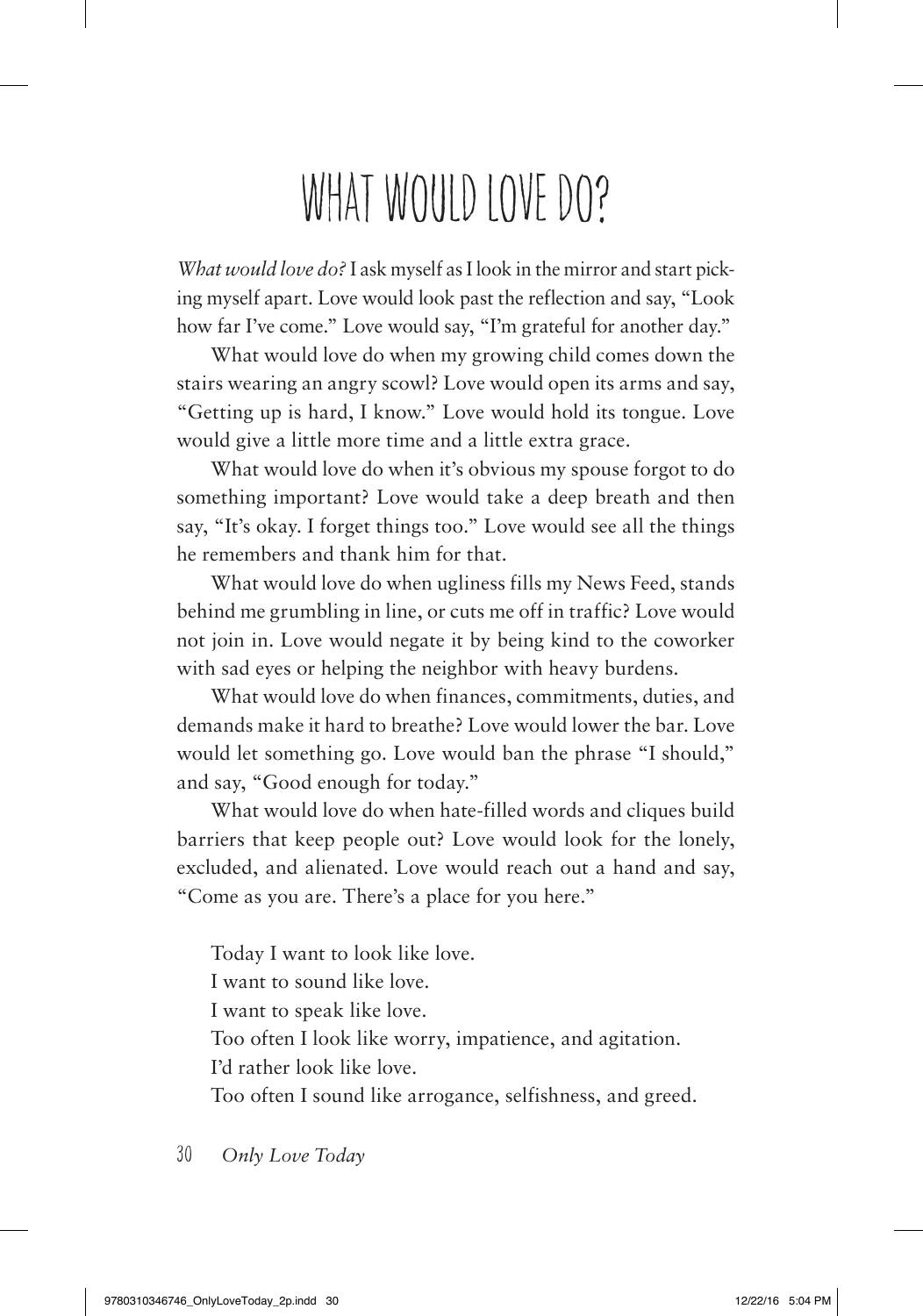## WHAT WOULD LOVE DO?

*What would love do?* I ask myself as I look in the mirror and start picking myself apart. Love would look past the reflection and say, "Look how far I've come." Love would say, "I'm grateful for another day."

What would love do when my growing child comes down the stairs wearing an angry scowl? Love would open its arms and say, "Getting up is hard, I know." Love would hold its tongue. Love would give a little more time and a little extra grace.

What would love do when it's obvious my spouse forgot to do something important? Love would take a deep breath and then say, "It's okay. I forget things too." Love would see all the things he remembers and thank him for that.

What would love do when ugliness fills my News Feed, stands behind me grumbling in line, or cuts me off in traffic? Love would not join in. Love would negate it by being kind to the coworker with sad eyes or helping the neighbor with heavy burdens.

What would love do when finances, commitments, duties, and demands make it hard to breathe? Love would lower the bar. Love would let something go. Love would ban the phrase "I should," and say, "Good enough for today."

What would love do when hate-filled words and cliques build barriers that keep people out? Love would look for the lonely, excluded, and alienated. Love would reach out a hand and say, "Come as you are. There's a place for you here."

Today I want to look like love. I want to sound like love. I want to speak like love. Too often I look like worry, impatience, and agitation. I'd rather look like love. Too often I sound like arrogance, selfishness, and greed.

30 *Only Love Today*